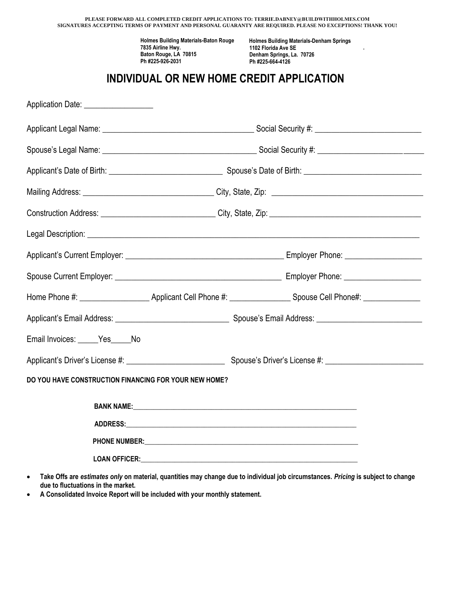|                                                       |                                                                                                                | PLEASE FORWARD ALL COMPLETED CREDIT APPLICATIONS TO: TERRIE.DABNEY@BUILDWITHHOLMES.COM<br>SIGNATURES ACCEPTING TERMS OF PAYMENT AND PERSONAL GUARANTY ARE REQUIRED. PLEASE NO EXCEPTIONS! THANK YOU!                           |  |
|-------------------------------------------------------|----------------------------------------------------------------------------------------------------------------|--------------------------------------------------------------------------------------------------------------------------------------------------------------------------------------------------------------------------------|--|
|                                                       | <b>Holmes Building Materials-Baton Rouge</b><br>7835 Airline Hwy.<br>Baton Rouge, LA 70815<br>Ph #225-926-2031 | <b>Holmes Building Materials-Denham Springs</b><br>1102 Florida Ave SE<br>Denham Springs, La. 70726<br>Ph #225-664-4126                                                                                                        |  |
|                                                       |                                                                                                                | INDIVIDUAL OR NEW HOME CREDIT APPLICATION                                                                                                                                                                                      |  |
| Application Date: __________________                  |                                                                                                                |                                                                                                                                                                                                                                |  |
|                                                       |                                                                                                                |                                                                                                                                                                                                                                |  |
|                                                       |                                                                                                                |                                                                                                                                                                                                                                |  |
|                                                       | Applicant's Date of Birth: 1990 Contract and Spouse's Date of Birth: 1990 Contract and Spouse's Date of Birth: |                                                                                                                                                                                                                                |  |
|                                                       |                                                                                                                |                                                                                                                                                                                                                                |  |
|                                                       |                                                                                                                |                                                                                                                                                                                                                                |  |
|                                                       |                                                                                                                |                                                                                                                                                                                                                                |  |
|                                                       |                                                                                                                |                                                                                                                                                                                                                                |  |
|                                                       |                                                                                                                |                                                                                                                                                                                                                                |  |
|                                                       |                                                                                                                | Home Phone #: \\connect_\\connect_\\connect_\\connect_\\connect_\\connect_\\connect_\\connect_\\connect_\\connect_\\connect_\\connect_\\connect_\\connect_\\connect_\\connect_\\connect_\\connect_\\connect_\\connect_\\connec |  |
|                                                       |                                                                                                                |                                                                                                                                                                                                                                |  |
| Email Invoices: Yes No                                |                                                                                                                |                                                                                                                                                                                                                                |  |
|                                                       |                                                                                                                |                                                                                                                                                                                                                                |  |
| DO YOU HAVE CONSTRUCTION FINANCING FOR YOUR NEW HOME? |                                                                                                                |                                                                                                                                                                                                                                |  |
|                                                       |                                                                                                                |                                                                                                                                                                                                                                |  |
|                                                       |                                                                                                                |                                                                                                                                                                                                                                |  |
|                                                       |                                                                                                                |                                                                                                                                                                                                                                |  |
|                                                       |                                                                                                                |                                                                                                                                                                                                                                |  |

- **Take Offs are** *estimates only* **on material, quantities may change due to individual job circumstances.** *Pricing* **is subject to change due to fluctuations in the market.**
- **A Consolidated Invoice Report will be included with your monthly statement.**